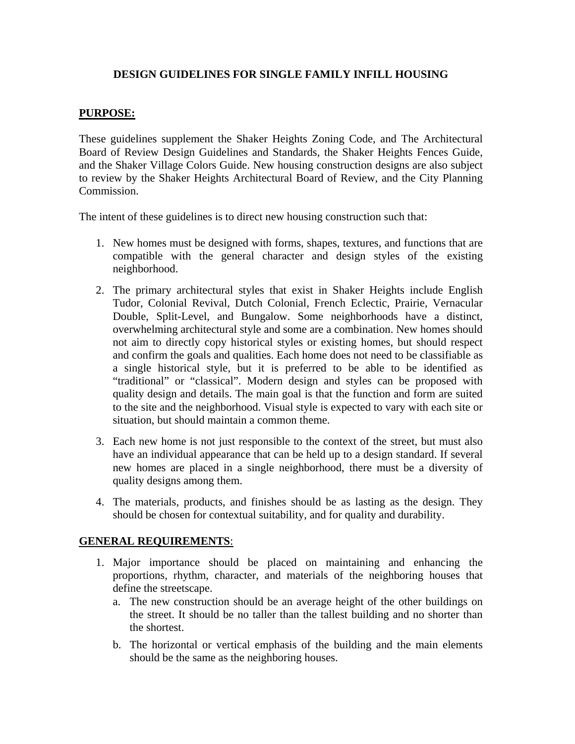# **DESIGN GUIDELINES FOR SINGLE FAMILY INFILL HOUSING**

#### **PURPOSE:**

These guidelines supplement the Shaker Heights Zoning Code, and The Architectural Board of Review Design Guidelines and Standards, the Shaker Heights Fences Guide, and the Shaker Village Colors Guide. New housing construction designs are also subject to review by the Shaker Heights Architectural Board of Review, and the City Planning Commission.

The intent of these guidelines is to direct new housing construction such that:

- 1. New homes must be designed with forms, shapes, textures, and functions that are compatible with the general character and design styles of the existing neighborhood.
- 2. The primary architectural styles that exist in Shaker Heights include English Tudor, Colonial Revival, Dutch Colonial, French Eclectic, Prairie, Vernacular Double, Split-Level, and Bungalow. Some neighborhoods have a distinct, overwhelming architectural style and some are a combination. New homes should not aim to directly copy historical styles or existing homes, but should respect and confirm the goals and qualities. Each home does not need to be classifiable as a single historical style, but it is preferred to be able to be identified as "traditional" or "classical". Modern design and styles can be proposed with quality design and details. The main goal is that the function and form are suited to the site and the neighborhood. Visual style is expected to vary with each site or situation, but should maintain a common theme.
- 3. Each new home is not just responsible to the context of the street, but must also have an individual appearance that can be held up to a design standard. If several new homes are placed in a single neighborhood, there must be a diversity of quality designs among them.
- 4. The materials, products, and finishes should be as lasting as the design. They should be chosen for contextual suitability, and for quality and durability.

#### **GENERAL REQUIREMENTS**:

- 1. Major importance should be placed on maintaining and enhancing the proportions, rhythm, character, and materials of the neighboring houses that define the streetscape.
	- a. The new construction should be an average height of the other buildings on the street. It should be no taller than the tallest building and no shorter than the shortest.
	- b. The horizontal or vertical emphasis of the building and the main elements should be the same as the neighboring houses.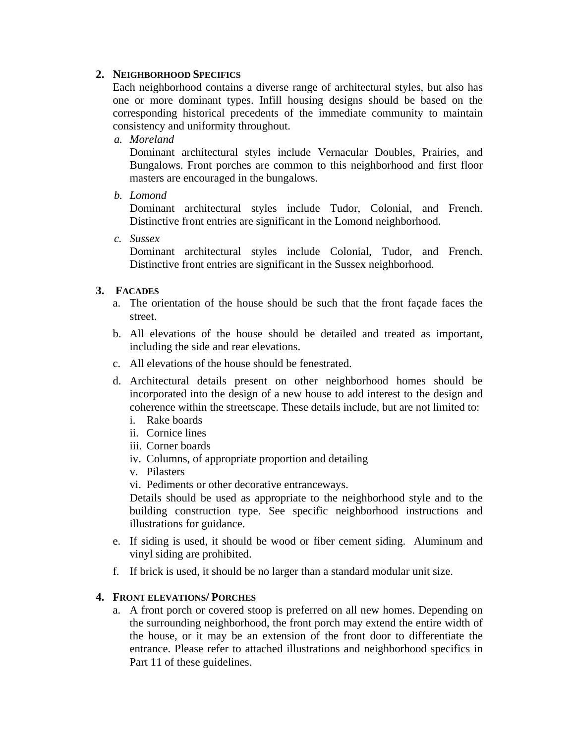### **2. NEIGHBORHOOD SPECIFICS**

Each neighborhood contains a diverse range of architectural styles, but also has one or more dominant types. Infill housing designs should be based on the corresponding historical precedents of the immediate community to maintain consistency and uniformity throughout.

*a. Moreland* 

Dominant architectural styles include Vernacular Doubles, Prairies, and Bungalows. Front porches are common to this neighborhood and first floor masters are encouraged in the bungalows.

*b. Lomond* 

Dominant architectural styles include Tudor, Colonial, and French. Distinctive front entries are significant in the Lomond neighborhood.

*c. Sussex* 

Dominant architectural styles include Colonial, Tudor, and French. Distinctive front entries are significant in the Sussex neighborhood.

# **3. FACADES**

- a. The orientation of the house should be such that the front façade faces the street.
- b. All elevations of the house should be detailed and treated as important, including the side and rear elevations.
- c. All elevations of the house should be fenestrated.
- d. Architectural details present on other neighborhood homes should be incorporated into the design of a new house to add interest to the design and coherence within the streetscape. These details include, but are not limited to:
	- i. Rake boards
	- ii. Cornice lines
	- iii. Corner boards
	- iv. Columns, of appropriate proportion and detailing
	- v. Pilasters
	- vi. Pediments or other decorative entranceways.

Details should be used as appropriate to the neighborhood style and to the building construction type. See specific neighborhood instructions and illustrations for guidance.

- e. If siding is used, it should be wood or fiber cement siding. Aluminum and vinyl siding are prohibited.
- f. If brick is used, it should be no larger than a standard modular unit size.

#### **4. FRONT ELEVATIONS/ PORCHES**

a. A front porch or covered stoop is preferred on all new homes. Depending on the surrounding neighborhood, the front porch may extend the entire width of the house, or it may be an extension of the front door to differentiate the entrance. Please refer to attached illustrations and neighborhood specifics in Part 11 of these guidelines.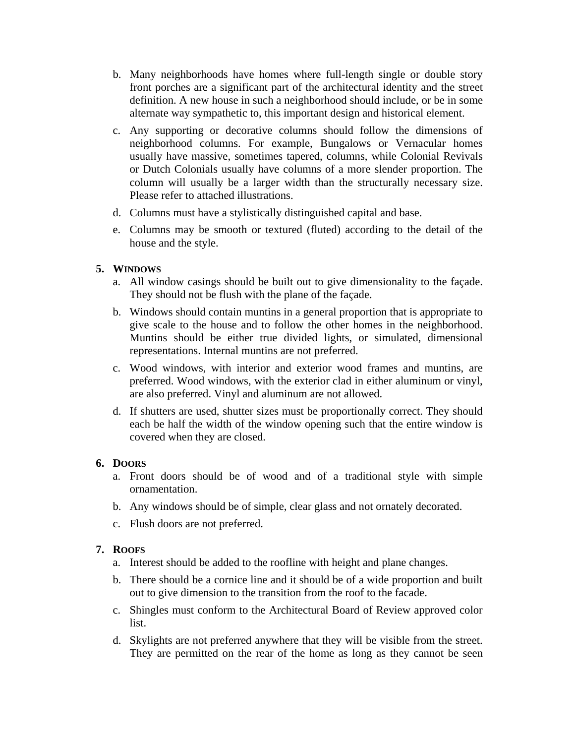- b. Many neighborhoods have homes where full-length single or double story front porches are a significant part of the architectural identity and the street definition. A new house in such a neighborhood should include, or be in some alternate way sympathetic to, this important design and historical element.
- c. Any supporting or decorative columns should follow the dimensions of neighborhood columns. For example, Bungalows or Vernacular homes usually have massive, sometimes tapered, columns, while Colonial Revivals or Dutch Colonials usually have columns of a more slender proportion. The column will usually be a larger width than the structurally necessary size. Please refer to attached illustrations.
- d. Columns must have a stylistically distinguished capital and base.
- e. Columns may be smooth or textured (fluted) according to the detail of the house and the style.

# **5. WINDOWS**

- a. All window casings should be built out to give dimensionality to the façade. They should not be flush with the plane of the façade.
- b. Windows should contain muntins in a general proportion that is appropriate to give scale to the house and to follow the other homes in the neighborhood. Muntins should be either true divided lights, or simulated, dimensional representations. Internal muntins are not preferred.
- c. Wood windows, with interior and exterior wood frames and muntins, are preferred. Wood windows, with the exterior clad in either aluminum or vinyl, are also preferred. Vinyl and aluminum are not allowed.
- d. If shutters are used, shutter sizes must be proportionally correct. They should each be half the width of the window opening such that the entire window is covered when they are closed.

# **6. DOORS**

- a. Front doors should be of wood and of a traditional style with simple ornamentation.
- b. Any windows should be of simple, clear glass and not ornately decorated.
- c. Flush doors are not preferred.

# **7. ROOFS**

- a. Interest should be added to the roofline with height and plane changes.
- b. There should be a cornice line and it should be of a wide proportion and built out to give dimension to the transition from the roof to the facade.
- c. Shingles must conform to the Architectural Board of Review approved color list.
- d. Skylights are not preferred anywhere that they will be visible from the street. They are permitted on the rear of the home as long as they cannot be seen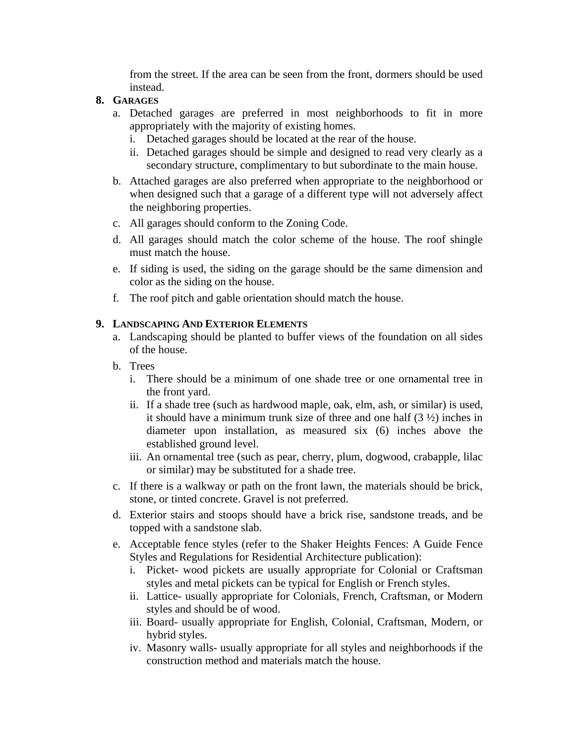from the street. If the area can be seen from the front, dormers should be used instead.

### **8. GARAGES**

- a. Detached garages are preferred in most neighborhoods to fit in more appropriately with the majority of existing homes.
	- i. Detached garages should be located at the rear of the house.
	- ii. Detached garages should be simple and designed to read very clearly as a secondary structure, complimentary to but subordinate to the main house.
- b. Attached garages are also preferred when appropriate to the neighborhood or when designed such that a garage of a different type will not adversely affect the neighboring properties.
- c. All garages should conform to the Zoning Code.
- d. All garages should match the color scheme of the house. The roof shingle must match the house.
- e. If siding is used, the siding on the garage should be the same dimension and color as the siding on the house.
- f. The roof pitch and gable orientation should match the house.

### **9. LANDSCAPING AND EXTERIOR ELEMENTS**

- a. Landscaping should be planted to buffer views of the foundation on all sides of the house.
- b. Trees
	- i. There should be a minimum of one shade tree or one ornamental tree in the front yard.
	- ii. If a shade tree (such as hardwood maple, oak, elm, ash, or similar) is used, it should have a minimum trunk size of three and one half (3 ½) inches in diameter upon installation, as measured six (6) inches above the established ground level.
	- iii. An ornamental tree (such as pear, cherry, plum, dogwood, crabapple, lilac or similar) may be substituted for a shade tree.
- c. If there is a walkway or path on the front lawn, the materials should be brick, stone, or tinted concrete. Gravel is not preferred.
- d. Exterior stairs and stoops should have a brick rise, sandstone treads, and be topped with a sandstone slab.
- e. Acceptable fence styles (refer to the Shaker Heights Fences: A Guide Fence Styles and Regulations for Residential Architecture publication):
	- i. Picket- wood pickets are usually appropriate for Colonial or Craftsman styles and metal pickets can be typical for English or French styles.
	- ii. Lattice- usually appropriate for Colonials, French, Craftsman, or Modern styles and should be of wood.
	- iii. Board- usually appropriate for English, Colonial, Craftsman, Modern, or hybrid styles.
	- iv. Masonry walls- usually appropriate for all styles and neighborhoods if the construction method and materials match the house.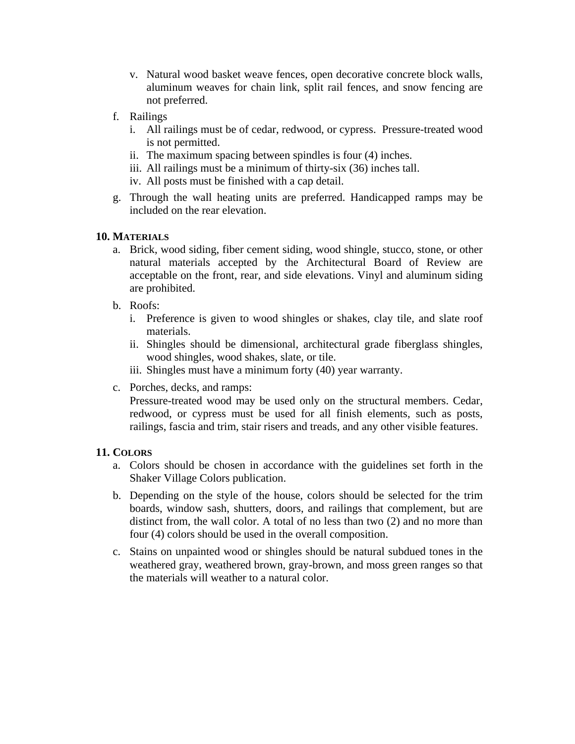- v. Natural wood basket weave fences, open decorative concrete block walls, aluminum weaves for chain link, split rail fences, and snow fencing are not preferred.
- f. Railings
	- i. All railings must be of cedar, redwood, or cypress. Pressure-treated wood is not permitted.
	- ii. The maximum spacing between spindles is four (4) inches.
	- iii. All railings must be a minimum of thirty-six (36) inches tall.
	- iv. All posts must be finished with a cap detail.
- g. Through the wall heating units are preferred. Handicapped ramps may be included on the rear elevation.

#### **10. MATERIALS**

- a. Brick, wood siding, fiber cement siding, wood shingle, stucco, stone, or other natural materials accepted by the Architectural Board of Review are acceptable on the front, rear, and side elevations. Vinyl and aluminum siding are prohibited.
- b. Roofs:
	- i. Preference is given to wood shingles or shakes, clay tile, and slate roof materials.
	- ii. Shingles should be dimensional, architectural grade fiberglass shingles, wood shingles, wood shakes, slate, or tile.
	- iii. Shingles must have a minimum forty (40) year warranty.
- c. Porches, decks, and ramps:

Pressure-treated wood may be used only on the structural members. Cedar, redwood, or cypress must be used for all finish elements, such as posts, railings, fascia and trim, stair risers and treads, and any other visible features.

#### **11. COLORS**

- a. Colors should be chosen in accordance with the guidelines set forth in the Shaker Village Colors publication.
- b. Depending on the style of the house, colors should be selected for the trim boards, window sash, shutters, doors, and railings that complement, but are distinct from, the wall color. A total of no less than two (2) and no more than four (4) colors should be used in the overall composition.
- c. Stains on unpainted wood or shingles should be natural subdued tones in the weathered gray, weathered brown, gray-brown, and moss green ranges so that the materials will weather to a natural color.